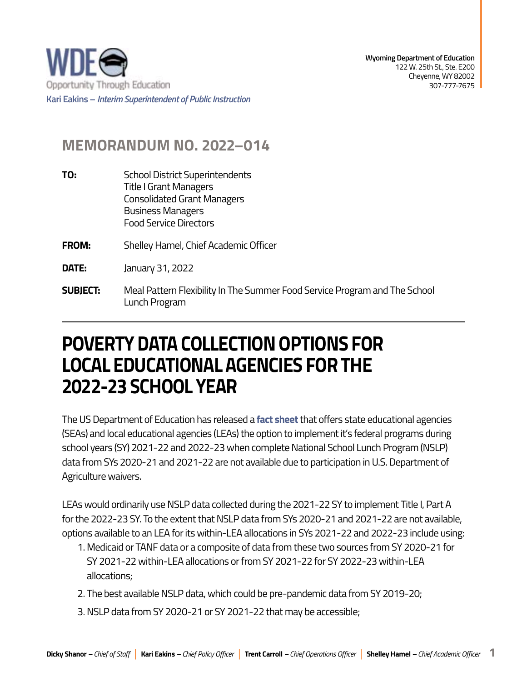

## **MEMORANDUM NO. 2022–014**

- **TO:** School District Superintendents Title I Grant Managers Consolidated Grant Managers Business Managers Food Service Directors
- **FROM:** Shelley Hamel, Chief Academic Officer
- **DATE:** January 31, 2022
- **SUBIECT: SUBJECT:** Meal Pattern Flexibility In The Summer Food Service Program and The School Lunch Program

## **POVERTY DATA COLLECTION OPTIONS FOR LOCAL EDUCATIONAL AGENCIES FOR THE 2022-23 SCHOOL YEAR**

The US Department of Education has released a **[fact sheet](https://edu.wyoming.gov/wp-content/uploads/2022/01/ED-USDA-Fact-Sheet-Revised-1-12-2022.pdf)** that offers state educational agencies (SEAs) and local educational agencies (LEAs) the option to implement it's federal programs during school years (SY) 2021-22 and 2022-23 when complete National School Lunch Program (NSLP) data from SYs 2020-21 and 2021-22 are not available due to participation in U.S. Department of Agriculture waivers.

LEAs would ordinarily use NSLP data collected during the 2021-22 SY to implement Title I, Part A for the 2022-23 SY. To the extent that NSLP data from SYs 2020-21 and 2021-22 are not available, options available to an LEA for its within-LEA allocations in SYs 2021-22 and 2022-23 include using:

- 1. Medicaid or TANF data or a composite of data from these two sources from SY 2020-21 for SY 2021-22 within-LEA allocations or from SY 2021-22 for SY 2022-23 within-LEA allocations;
- 2. The best available NSLP data, which could be pre-pandemic data from SY 2019-20;
- 3. NSLP data from SY 2020-21 or SY 2021-22 that may be accessible;